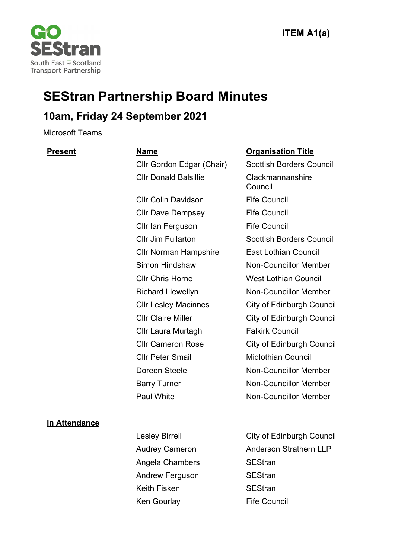

# **SEStran Partnership Board Minutes**

# **10am, Friday 24 September 2021**

Microsoft Teams

Cllr Gordon Edgar (Chair) Scottish Borders Council Cllr Donald Balsillie Clackmannanshire

Cllr Colin Davidson Fife Council Cllr Dave Dempsey Fife Council Cllr Ian Ferguson Fife Council Cllr Norman Hampshire East Lothian Council Cllr Chris Horne West Lothian Council Cllr Laura Murtagh Falkirk Council Cllr Peter Smail Midlothian Council

#### **Present Name Organisation Title**

Council Cllr Jim Fullarton Scottish Borders Council Simon Hindshaw Non-Councillor Member Richard Llewellyn Non-Councillor Member Cllr Lesley Macinnes City of Edinburgh Council Cllr Claire Miller City of Edinburgh Council Cllr Cameron Rose City of Edinburgh Council Doreen Steele Non-Councillor Member Barry Turner Non-Councillor Member Paul White Non-Councillor Member

#### **In Attendance**

- Angela Chambers SEStran Andrew Ferguson SEStran Keith Fisken SEStran Ken Gourlay Fife Council
- Lesley Birrell **City of Edinburgh Council** Audrey Cameron **Anderson Strathern LLP**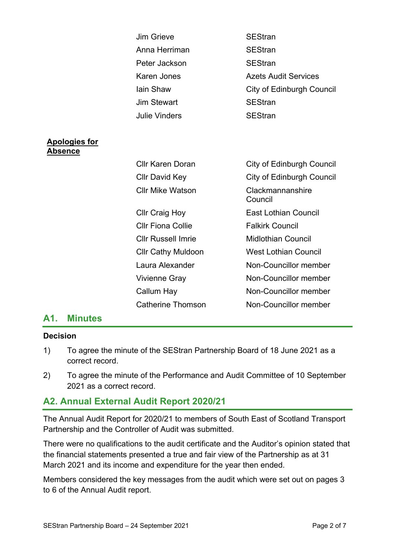|                                        | <b>Jim Grieve</b>         | <b>SEStran</b>                   |
|----------------------------------------|---------------------------|----------------------------------|
|                                        | Anna Herriman             | <b>SEStran</b>                   |
|                                        | Peter Jackson             | <b>SEStran</b>                   |
|                                        | <b>Karen Jones</b>        | <b>Azets Audit Services</b>      |
|                                        | lain Shaw                 | City of Edinburgh Council        |
|                                        | <b>Jim Stewart</b>        | <b>SEStran</b>                   |
|                                        | <b>Julie Vinders</b>      | <b>SEStran</b>                   |
|                                        |                           |                                  |
| <b>Apologies for</b><br><u>Absence</u> |                           |                                  |
|                                        | <b>Cllr Karen Doran</b>   | <b>City of Edinburgh Council</b> |
|                                        | <b>CIIr David Key</b>     | <b>City of Edinburgh Council</b> |
|                                        | <b>Cllr Mike Watson</b>   | Clackmannanshire<br>Council      |
|                                        | <b>Cllr Craig Hoy</b>     | <b>East Lothian Council</b>      |
|                                        | <b>CIIr Fiona Collie</b>  | <b>Falkirk Council</b>           |
|                                        | <b>Cllr Russell Imrie</b> | <b>Midlothian Council</b>        |
|                                        | <b>Cllr Cathy Muldoon</b> | <b>West Lothian Council</b>      |
|                                        | Laura Alexander           | Non-Councillor member            |
|                                        | Vivienne Gray             | Non-Councillor member            |
|                                        | Callum Hay                | Non-Councillor member            |
|                                        | <b>Catherine Thomson</b>  | Non-Councillor member            |
|                                        |                           |                                  |

#### **A1. Minutes**

#### **Decision**

- 1) To agree the minute of the SEStran Partnership Board of 18 June 2021 as a correct record.
- 2) To agree the minute of the Performance and Audit Committee of 10 September 2021 as a correct record.

# **A2. Annual External Audit Report 2020/21**

The Annual Audit Report for 2020/21 to members of South East of Scotland Transport Partnership and the Controller of Audit was submitted.

There were no qualifications to the audit certificate and the Auditor's opinion stated that the financial statements presented a true and fair view of the Partnership as at 31 March 2021 and its income and expenditure for the year then ended.

Members considered the key messages from the audit which were set out on pages 3 to 6 of the Annual Audit report.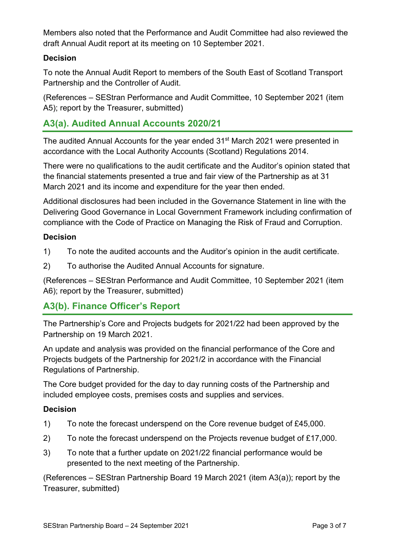Members also noted that the Performance and Audit Committee had also reviewed the draft Annual Audit report at its meeting on 10 September 2021.

#### **Decision**

To note the Annual Audit Report to members of the South East of Scotland Transport Partnership and the Controller of Audit.

(References – SEStran Performance and Audit Committee, 10 September 2021 (item A5); report by the Treasurer, submitted)

# **A3(a). Audited Annual Accounts 2020/21**

The audited Annual Accounts for the year ended 31<sup>st</sup> March 2021 were presented in accordance with the Local Authority Accounts (Scotland) Regulations 2014.

There were no qualifications to the audit certificate and the Auditor's opinion stated that the financial statements presented a true and fair view of the Partnership as at 31 March 2021 and its income and expenditure for the year then ended.

Additional disclosures had been included in the Governance Statement in line with the Delivering Good Governance in Local Government Framework including confirmation of compliance with the Code of Practice on Managing the Risk of Fraud and Corruption.

#### **Decision**

- 1) To note the audited accounts and the Auditor's opinion in the audit certificate.
- 2) To authorise the Audited Annual Accounts for signature.

(References – SEStran Performance and Audit Committee, 10 September 2021 (item A6); report by the Treasurer, submitted)

# **A3(b). Finance Officer's Report**

The Partnership's Core and Projects budgets for 2021/22 had been approved by the Partnership on 19 March 2021.

An update and analysis was provided on the financial performance of the Core and Projects budgets of the Partnership for 2021/2 in accordance with the Financial Regulations of Partnership.

The Core budget provided for the day to day running costs of the Partnership and included employee costs, premises costs and supplies and services.

#### **Decision**

- 1) To note the forecast underspend on the Core revenue budget of £45,000.
- 2) To note the forecast underspend on the Projects revenue budget of £17,000.
- 3) To note that a further update on 2021/22 financial performance would be presented to the next meeting of the Partnership.

(References – SEStran Partnership Board 19 March 2021 (item A3(a)); report by the Treasurer, submitted)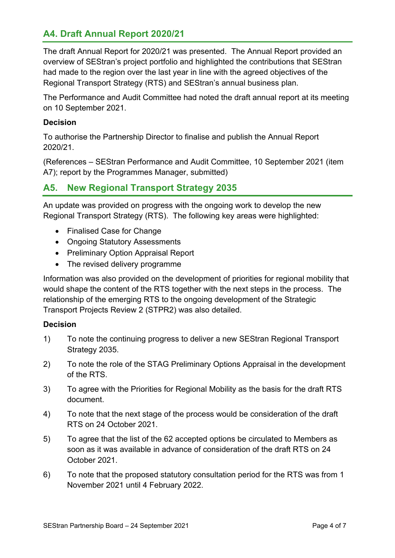# **A4. Draft Annual Report 2020/21**

The draft Annual Report for 2020/21 was presented. The Annual Report provided an overview of SEStran's project portfolio and highlighted the contributions that SEStran had made to the region over the last year in line with the agreed objectives of the Regional Transport Strategy (RTS) and SEStran's annual business plan.

The Performance and Audit Committee had noted the draft annual report at its meeting on 10 September 2021.

#### **Decision**

To authorise the Partnership Director to finalise and publish the Annual Report 2020/21.

(References – SEStran Performance and Audit Committee, 10 September 2021 (item A7); report by the Programmes Manager, submitted)

# **A5. New Regional Transport Strategy 2035**

An update was provided on progress with the ongoing work to develop the new Regional Transport Strategy (RTS). The following key areas were highlighted:

- Finalised Case for Change
- Ongoing Statutory Assessments
- Preliminary Option Appraisal Report
- The revised delivery programme

Information was also provided on the development of priorities for regional mobility that would shape the content of the RTS together with the next steps in the process. The relationship of the emerging RTS to the ongoing development of the Strategic Transport Projects Review 2 (STPR2) was also detailed.

#### **Decision**

- 1) To note the continuing progress to deliver a new SEStran Regional Transport Strategy 2035.
- 2) To note the role of the STAG Preliminary Options Appraisal in the development of the RTS.
- 3) To agree with the Priorities for Regional Mobility as the basis for the draft RTS document.
- 4) To note that the next stage of the process would be consideration of the draft RTS on 24 October 2021.
- 5) To agree that the list of the 62 accepted options be circulated to Members as soon as it was available in advance of consideration of the draft RTS on 24 October 2021.
- 6) To note that the proposed statutory consultation period for the RTS was from 1 November 2021 until 4 February 2022.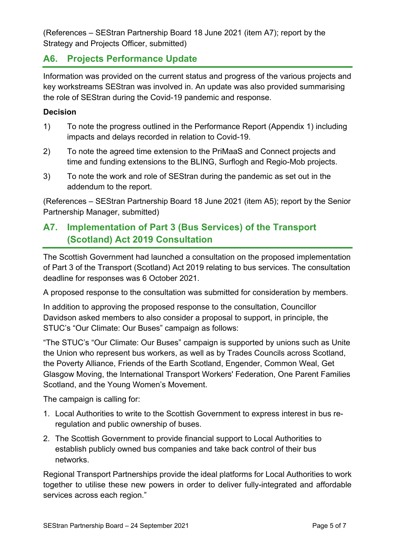(References – SEStran Partnership Board 18 June 2021 (item A7); report by the Strategy and Projects Officer, submitted)

# **A6. Projects Performance Update**

Information was provided on the current status and progress of the various projects and key workstreams SEStran was involved in. An update was also provided summarising the role of SEStran during the Covid-19 pandemic and response.

#### **Decision**

- 1) To note the progress outlined in the Performance Report (Appendix 1) including impacts and delays recorded in relation to Covid-19.
- 2) To note the agreed time extension to the PriMaaS and Connect projects and time and funding extensions to the BLING, Surflogh and Regio-Mob projects.
- 3) To note the work and role of SEStran during the pandemic as set out in the addendum to the report.

(References – SEStran Partnership Board 18 June 2021 (item A5); report by the Senior Partnership Manager, submitted)

# **A7. Implementation of Part 3 (Bus Services) of the Transport (Scotland) Act 2019 Consultation**

The Scottish Government had launched a consultation on the proposed implementation of Part 3 of the Transport (Scotland) Act 2019 relating to bus services. The consultation deadline for responses was 6 October 2021.

A proposed response to the consultation was submitted for consideration by members.

In addition to approving the proposed response to the consultation, Councillor Davidson asked members to also consider a proposal to support, in principle, the STUC's "Our Climate: Our Buses" campaign as follows:

"The STUC's "Our Climate: Our Buses" campaign is supported by unions such as Unite the Union who represent bus workers, as well as by Trades Councils across Scotland, the Poverty Alliance, Friends of the Earth Scotland, Engender, Common Weal, Get Glasgow Moving, the International Transport Workers' Federation, One Parent Families Scotland, and the Young Women's Movement.

The campaign is calling for:

- 1. Local Authorities to write to the Scottish Government to express interest in bus reregulation and public ownership of buses.
- 2. The Scottish Government to provide financial support to Local Authorities to establish publicly owned bus companies and take back control of their bus networks.

Regional Transport Partnerships provide the ideal platforms for Local Authorities to work together to utilise these new powers in order to deliver fully-integrated and affordable services across each region."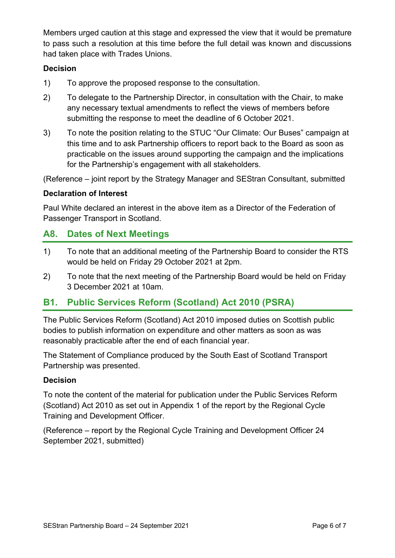Members urged caution at this stage and expressed the view that it would be premature to pass such a resolution at this time before the full detail was known and discussions had taken place with Trades Unions.

### **Decision**

- 1) To approve the proposed response to the consultation.
- 2) To delegate to the Partnership Director, in consultation with the Chair, to make any necessary textual amendments to reflect the views of members before submitting the response to meet the deadline of 6 October 2021.
- 3) To note the position relating to the STUC "Our Climate: Our Buses" campaign at this time and to ask Partnership officers to report back to the Board as soon as practicable on the issues around supporting the campaign and the implications for the Partnership's engagement with all stakeholders.

(Reference – joint report by the Strategy Manager and SEStran Consultant, submitted

### **Declaration of Interest**

Paul White declared an interest in the above item as a Director of the Federation of Passenger Transport in Scotland.

# **A8. Dates of Next Meetings**

- 1) To note that an additional meeting of the Partnership Board to consider the RTS would be held on Friday 29 October 2021 at 2pm.
- 2) To note that the next meeting of the Partnership Board would be held on Friday 3 December 2021 at 10am.

# **B1. Public Services Reform (Scotland) Act 2010 (PSRA)**

The Public Services Reform (Scotland) Act 2010 imposed duties on Scottish public bodies to publish information on expenditure and other matters as soon as was reasonably practicable after the end of each financial year.

The Statement of Compliance produced by the South East of Scotland Transport Partnership was presented.

#### **Decision**

To note the content of the material for publication under the Public Services Reform (Scotland) Act 2010 as set out in Appendix 1 of the report by the Regional Cycle Training and Development Officer.

(Reference – report by the Regional Cycle Training and Development Officer 24 September 2021, submitted)